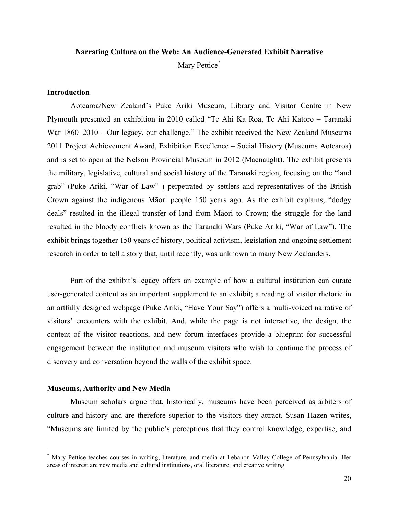# **Narrating Culture on the Web: An Audience-Generated Exhibit Narrative** Mary Pettice<sup>\*</sup>

#### **Introduction**

Aotearoa/New Zealand's Puke Ariki Museum, Library and Visitor Centre in New Plymouth presented an exhibition in 2010 called "Te Ahi Kā Roa, Te Ahi Kātoro – Taranaki War 1860–2010 – Our legacy, our challenge." The exhibit received the New Zealand Museums 2011 Project Achievement Award, Exhibition Excellence – Social History (Museums Aotearoa) and is set to open at the Nelson Provincial Museum in 2012 (Macnaught). The exhibit presents the military, legislative, cultural and social history of the Taranaki region, focusing on the "land grab" (Puke Ariki, "War of Law" ) perpetrated by settlers and representatives of the British Crown against the indigenous Māori people 150 years ago. As the exhibit explains, "dodgy deals" resulted in the illegal transfer of land from Māori to Crown; the struggle for the land resulted in the bloody conflicts known as the Taranaki Wars (Puke Ariki, "War of Law"). The exhibit brings together 150 years of history, political activism, legislation and ongoing settlement research in order to tell a story that, until recently, was unknown to many New Zealanders.

Part of the exhibit's legacy offers an example of how a cultural institution can curate user-generated content as an important supplement to an exhibit; a reading of visitor rhetoric in an artfully designed webpage (Puke Ariki, "Have Your Say") offers a multi-voiced narrative of visitors' encounters with the exhibit. And, while the page is not interactive, the design, the content of the visitor reactions, and new forum interfaces provide a blueprint for successful engagement between the institution and museum visitors who wish to continue the process of discovery and conversation beyond the walls of the exhibit space.

#### **Museums, Authority and New Media**

Museum scholars argue that, historically, museums have been perceived as arbiters of culture and history and are therefore superior to the visitors they attract. Susan Hazen writes, "Museums are limited by the public's perceptions that they control knowledge, expertise, and

Mary Pettice teaches courses in writing, literature, and media at Lebanon Valley College of Pennsylvania. Her areas of interest are new media and cultural institutions, oral literature, and creative writing.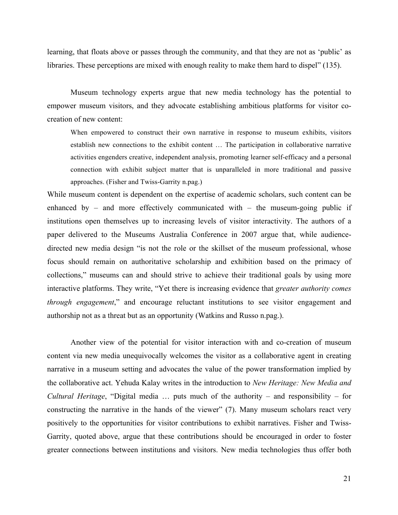learning, that floats above or passes through the community, and that they are not as 'public' as libraries. These perceptions are mixed with enough reality to make them hard to dispel" (135).

Museum technology experts argue that new media technology has the potential to empower museum visitors, and they advocate establishing ambitious platforms for visitor cocreation of new content:

When empowered to construct their own narrative in response to museum exhibits, visitors establish new connections to the exhibit content … The participation in collaborative narrative activities engenders creative, independent analysis, promoting learner self-efficacy and a personal connection with exhibit subject matter that is unparalleled in more traditional and passive approaches. (Fisher and Twiss-Garrity n.pag.)

While museum content is dependent on the expertise of academic scholars, such content can be enhanced by – and more effectively communicated with – the museum-going public if institutions open themselves up to increasing levels of visitor interactivity. The authors of a paper delivered to the Museums Australia Conference in 2007 argue that, while audiencedirected new media design "is not the role or the skillset of the museum professional, whose focus should remain on authoritative scholarship and exhibition based on the primacy of collections," museums can and should strive to achieve their traditional goals by using more interactive platforms. They write, "Yet there is increasing evidence that *greater authority comes through engagement*," and encourage reluctant institutions to see visitor engagement and authorship not as a threat but as an opportunity (Watkins and Russo n.pag.).

Another view of the potential for visitor interaction with and co-creation of museum content via new media unequivocally welcomes the visitor as a collaborative agent in creating narrative in a museum setting and advocates the value of the power transformation implied by the collaborative act. Yehuda Kalay writes in the introduction to *New Heritage: New Media and Cultural Heritage*, "Digital media … puts much of the authority – and responsibility – for constructing the narrative in the hands of the viewer" (7). Many museum scholars react very positively to the opportunities for visitor contributions to exhibit narratives. Fisher and Twiss-Garrity, quoted above, argue that these contributions should be encouraged in order to foster greater connections between institutions and visitors. New media technologies thus offer both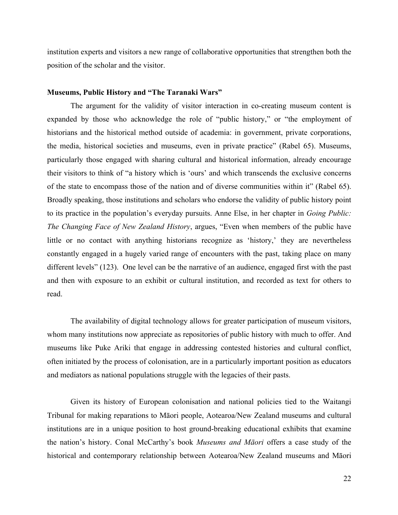institution experts and visitors a new range of collaborative opportunities that strengthen both the position of the scholar and the visitor.

#### **Museums, Public History and "The Taranaki Wars"**

The argument for the validity of visitor interaction in co-creating museum content is expanded by those who acknowledge the role of "public history," or "the employment of historians and the historical method outside of academia: in government, private corporations, the media, historical societies and museums, even in private practice" (Rabel 65). Museums, particularly those engaged with sharing cultural and historical information, already encourage their visitors to think of "a history which is 'ours' and which transcends the exclusive concerns of the state to encompass those of the nation and of diverse communities within it" (Rabel 65). Broadly speaking, those institutions and scholars who endorse the validity of public history point to its practice in the population's everyday pursuits. Anne Else, in her chapter in *Going Public: The Changing Face of New Zealand History*, argues, "Even when members of the public have little or no contact with anything historians recognize as 'history,' they are nevertheless constantly engaged in a hugely varied range of encounters with the past, taking place on many different levels" (123). One level can be the narrative of an audience, engaged first with the past and then with exposure to an exhibit or cultural institution, and recorded as text for others to read.

The availability of digital technology allows for greater participation of museum visitors, whom many institutions now appreciate as repositories of public history with much to offer. And museums like Puke Ariki that engage in addressing contested histories and cultural conflict, often initiated by the process of colonisation, are in a particularly important position as educators and mediators as national populations struggle with the legacies of their pasts.

Given its history of European colonisation and national policies tied to the Waitangi Tribunal for making reparations to Māori people, Aotearoa/New Zealand museums and cultural institutions are in a unique position to host ground-breaking educational exhibits that examine the nation's history. Conal McCarthy's book *Museums and Māori* offers a case study of the historical and contemporary relationship between Aotearoa/New Zealand museums and Māori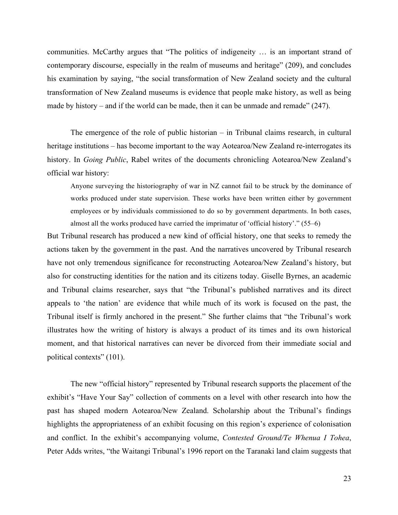communities. McCarthy argues that "The politics of indigeneity … is an important strand of contemporary discourse, especially in the realm of museums and heritage" (209), and concludes his examination by saying, "the social transformation of New Zealand society and the cultural transformation of New Zealand museums is evidence that people make history, as well as being made by history – and if the world can be made, then it can be unmade and remade" (247).

The emergence of the role of public historian – in Tribunal claims research, in cultural heritage institutions – has become important to the way Aotearoa/New Zealand re-interrogates its history. In *Going Public*, Rabel writes of the documents chronicling Aotearoa/New Zealand's official war history:

Anyone surveying the historiography of war in NZ cannot fail to be struck by the dominance of works produced under state supervision. These works have been written either by government employees or by individuals commissioned to do so by government departments. In both cases, almost all the works produced have carried the imprimatur of 'official history'." (55–6)

But Tribunal research has produced a new kind of official history, one that seeks to remedy the actions taken by the government in the past. And the narratives uncovered by Tribunal research have not only tremendous significance for reconstructing Aotearoa/New Zealand's history, but also for constructing identities for the nation and its citizens today. Giselle Byrnes, an academic and Tribunal claims researcher, says that "the Tribunal's published narratives and its direct appeals to 'the nation' are evidence that while much of its work is focused on the past, the Tribunal itself is firmly anchored in the present." She further claims that "the Tribunal's work illustrates how the writing of history is always a product of its times and its own historical moment, and that historical narratives can never be divorced from their immediate social and political contexts" (101).

The new "official history" represented by Tribunal research supports the placement of the exhibit's "Have Your Say" collection of comments on a level with other research into how the past has shaped modern Aotearoa/New Zealand. Scholarship about the Tribunal's findings highlights the appropriateness of an exhibit focusing on this region's experience of colonisation and conflict. In the exhibit's accompanying volume, *Contested Ground/Te Whenua I Tohea*, Peter Adds writes, "the Waitangi Tribunal's 1996 report on the Taranaki land claim suggests that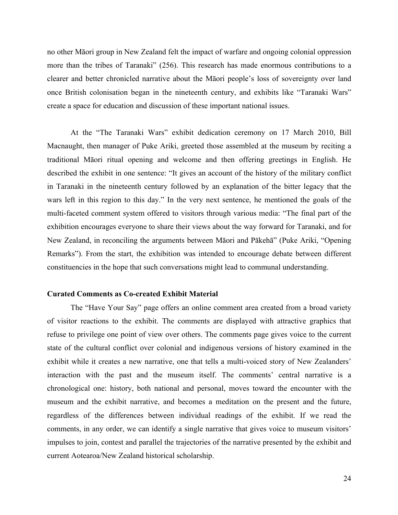no other Māori group in New Zealand felt the impact of warfare and ongoing colonial oppression more than the tribes of Taranaki" (256). This research has made enormous contributions to a clearer and better chronicled narrative about the Māori people's loss of sovereignty over land once British colonisation began in the nineteenth century, and exhibits like "Taranaki Wars" create a space for education and discussion of these important national issues.

At the "The Taranaki Wars" exhibit dedication ceremony on 17 March 2010, Bill Macnaught, then manager of Puke Ariki, greeted those assembled at the museum by reciting a traditional Māori ritual opening and welcome and then offering greetings in English. He described the exhibit in one sentence: "It gives an account of the history of the military conflict in Taranaki in the nineteenth century followed by an explanation of the bitter legacy that the wars left in this region to this day." In the very next sentence, he mentioned the goals of the multi-faceted comment system offered to visitors through various media: "The final part of the exhibition encourages everyone to share their views about the way forward for Taranaki, and for New Zealand, in reconciling the arguments between Māori and Pākehā" (Puke Ariki, "Opening Remarks"). From the start, the exhibition was intended to encourage debate between different constituencies in the hope that such conversations might lead to communal understanding.

## **Curated Comments as Co-created Exhibit Material**

The "Have Your Say" page offers an online comment area created from a broad variety of visitor reactions to the exhibit. The comments are displayed with attractive graphics that refuse to privilege one point of view over others. The comments page gives voice to the current state of the cultural conflict over colonial and indigenous versions of history examined in the exhibit while it creates a new narrative, one that tells a multi-voiced story of New Zealanders' interaction with the past and the museum itself. The comments' central narrative is a chronological one: history, both national and personal, moves toward the encounter with the museum and the exhibit narrative, and becomes a meditation on the present and the future, regardless of the differences between individual readings of the exhibit. If we read the comments, in any order, we can identify a single narrative that gives voice to museum visitors' impulses to join, contest and parallel the trajectories of the narrative presented by the exhibit and current Aotearoa/New Zealand historical scholarship.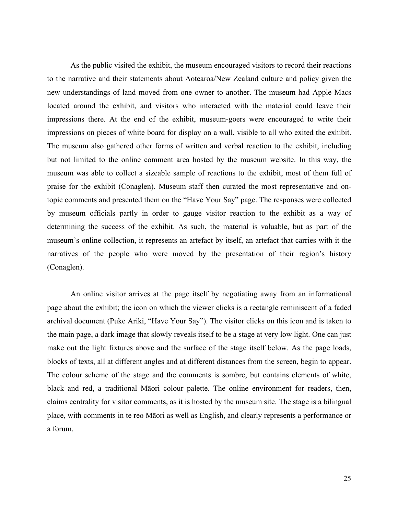As the public visited the exhibit, the museum encouraged visitors to record their reactions to the narrative and their statements about Aotearoa/New Zealand culture and policy given the new understandings of land moved from one owner to another. The museum had Apple Macs located around the exhibit, and visitors who interacted with the material could leave their impressions there. At the end of the exhibit, museum-goers were encouraged to write their impressions on pieces of white board for display on a wall, visible to all who exited the exhibit. The museum also gathered other forms of written and verbal reaction to the exhibit, including but not limited to the online comment area hosted by the museum website. In this way, the museum was able to collect a sizeable sample of reactions to the exhibit, most of them full of praise for the exhibit (Conaglen). Museum staff then curated the most representative and ontopic comments and presented them on the "Have Your Say" page. The responses were collected by museum officials partly in order to gauge visitor reaction to the exhibit as a way of determining the success of the exhibit. As such, the material is valuable, but as part of the museum's online collection, it represents an artefact by itself, an artefact that carries with it the narratives of the people who were moved by the presentation of their region's history (Conaglen).

An online visitor arrives at the page itself by negotiating away from an informational page about the exhibit; the icon on which the viewer clicks is a rectangle reminiscent of a faded archival document (Puke Ariki, "Have Your Say"). The visitor clicks on this icon and is taken to the main page, a dark image that slowly reveals itself to be a stage at very low light. One can just make out the light fixtures above and the surface of the stage itself below. As the page loads, blocks of texts, all at different angles and at different distances from the screen, begin to appear. The colour scheme of the stage and the comments is sombre, but contains elements of white, black and red, a traditional Māori colour palette. The online environment for readers, then, claims centrality for visitor comments, as it is hosted by the museum site. The stage is a bilingual place, with comments in te reo Māori as well as English, and clearly represents a performance or a forum.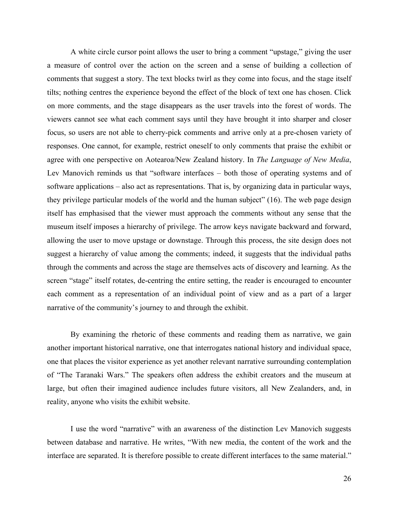A white circle cursor point allows the user to bring a comment "upstage," giving the user a measure of control over the action on the screen and a sense of building a collection of comments that suggest a story. The text blocks twirl as they come into focus, and the stage itself tilts; nothing centres the experience beyond the effect of the block of text one has chosen. Click on more comments, and the stage disappears as the user travels into the forest of words. The viewers cannot see what each comment says until they have brought it into sharper and closer focus, so users are not able to cherry-pick comments and arrive only at a pre-chosen variety of responses. One cannot, for example, restrict oneself to only comments that praise the exhibit or agree with one perspective on Aotearoa/New Zealand history. In *The Language of New Media*, Lev Manovich reminds us that "software interfaces – both those of operating systems and of software applications – also act as representations. That is, by organizing data in particular ways, they privilege particular models of the world and the human subject" (16). The web page design itself has emphasised that the viewer must approach the comments without any sense that the museum itself imposes a hierarchy of privilege. The arrow keys navigate backward and forward, allowing the user to move upstage or downstage. Through this process, the site design does not suggest a hierarchy of value among the comments; indeed, it suggests that the individual paths through the comments and across the stage are themselves acts of discovery and learning. As the screen "stage" itself rotates, de-centring the entire setting, the reader is encouraged to encounter each comment as a representation of an individual point of view and as a part of a larger narrative of the community's journey to and through the exhibit.

By examining the rhetoric of these comments and reading them as narrative, we gain another important historical narrative, one that interrogates national history and individual space, one that places the visitor experience as yet another relevant narrative surrounding contemplation of "The Taranaki Wars." The speakers often address the exhibit creators and the museum at large, but often their imagined audience includes future visitors, all New Zealanders, and, in reality, anyone who visits the exhibit website.

I use the word "narrative" with an awareness of the distinction Lev Manovich suggests between database and narrative. He writes, "With new media, the content of the work and the interface are separated. It is therefore possible to create different interfaces to the same material."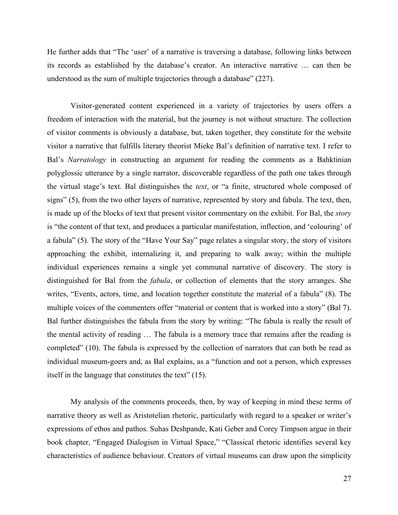He further adds that "The 'user' of a narrative is traversing a database, following links between its records as established by the database's creator. An interactive narrative … can then be understood as the sum of multiple trajectories through a database" (227).

Visitor-generated content experienced in a variety of trajectories by users offers a freedom of interaction with the material, but the journey is not without structure. The collection of visitor comments is obviously a database, but, taken together, they constitute for the website visitor a narrative that fulfills literary theorist Mieke Bal's definition of narrative text. I refer to Bal's *Narratology* in constructing an argument for reading the comments as a Bahktinian polyglossic utterance by a single narrator, discoverable regardless of the path one takes through the virtual stage's text. Bal distinguishes the *text*, or "a finite, structured whole composed of signs" (5), from the two other layers of narrative, represented by story and fabula. The text, then, is made up of the blocks of text that present visitor commentary on the exhibit. For Bal, the *story* is "the content of that text, and produces a particular manifestation, inflection, and 'colouring' of a fabula" (5). The story of the "Have Your Say" page relates a singular story, the story of visitors approaching the exhibit, internalizing it, and preparing to walk away; within the multiple individual experiences remains a single yet communal narrative of discovery. The story is distinguished for Bal from the *fabula*, or collection of elements that the story arranges. She writes, "Events, actors, time, and location together constitute the material of a fabula" (8). The multiple voices of the commenters offer "material or content that is worked into a story" (Bal 7). Bal further distinguishes the fabula from the story by writing: "The fabula is really the result of the mental activity of reading … The fabula is a memory trace that remains after the reading is completed" (10). The fabula is expressed by the collection of narrators that can both be read as individual museum-goers and, as Bal explains, as a "function and not a person, which expresses itself in the language that constitutes the text" (15).

My analysis of the comments proceeds, then, by way of keeping in mind these terms of narrative theory as well as Aristotelian rhetoric, particularly with regard to a speaker or writer's expressions of ethos and pathos. Suhas Deshpande, Kati Geber and Corey Timpson argue in their book chapter, "Engaged Dialogism in Virtual Space," "Classical rhetoric identifies several key characteristics of audience behaviour. Creators of virtual museums can draw upon the simplicity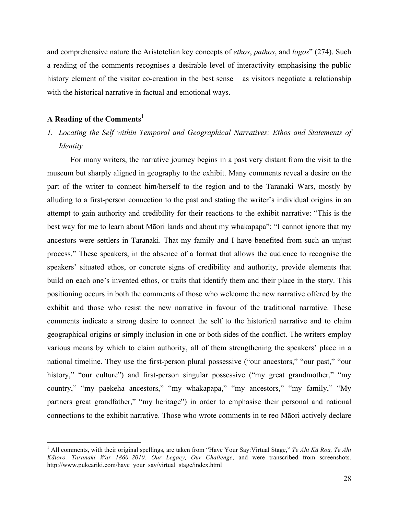and comprehensive nature the Aristotelian key concepts of *ethos*, *pathos*, and *logos*" (274). Such a reading of the comments recognises a desirable level of interactivity emphasising the public history element of the visitor co-creation in the best sense – as visitors negotiate a relationship with the historical narrative in factual and emotional ways.

## **A Reading of the Comments**<sup>1</sup>

# *1. Locating the Self within Temporal and Geographical Narratives: Ethos and Statements of Identity*

For many writers, the narrative journey begins in a past very distant from the visit to the museum but sharply aligned in geography to the exhibit. Many comments reveal a desire on the part of the writer to connect him/herself to the region and to the Taranaki Wars, mostly by alluding to a first-person connection to the past and stating the writer's individual origins in an attempt to gain authority and credibility for their reactions to the exhibit narrative: "This is the best way for me to learn about Māori lands and about my whakapapa"; "I cannot ignore that my ancestors were settlers in Taranaki. That my family and I have benefited from such an unjust process." These speakers, in the absence of a format that allows the audience to recognise the speakers' situated ethos, or concrete signs of credibility and authority, provide elements that build on each one's invented ethos, or traits that identify them and their place in the story. This positioning occurs in both the comments of those who welcome the new narrative offered by the exhibit and those who resist the new narrative in favour of the traditional narrative. These comments indicate a strong desire to connect the self to the historical narrative and to claim geographical origins or simply inclusion in one or both sides of the conflict. The writers employ various means by which to claim authority, all of them strengthening the speakers' place in a national timeline. They use the first-person plural possessive ("our ancestors," "our past," "our history," "our culture") and first-person singular possessive ("my great grandmother," "my country," "my paekeha ancestors," "my whakapapa," "my ancestors," "my family," "My partners great grandfather," "my heritage") in order to emphasise their personal and national connections to the exhibit narrative. Those who wrote comments in te reo Māori actively declare

 <sup>1</sup> All comments, with their original spellings, are taken from "Have Your Say:Virtual Stage," *Te Ahi Kā Roa, Te Ahi Kātoro. Taranaki War 1860*–*2010: Our Legacy, Our Challenge*, and were transcribed from screenshots. http://www.pukeariki.com/have\_your\_say/virtual\_stage/index.html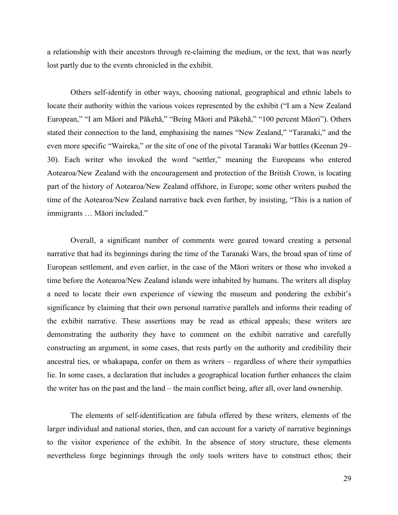a relationship with their ancestors through re-claiming the medium, or the text, that was nearly lost partly due to the events chronicled in the exhibit.

Others self-identify in other ways, choosing national, geographical and ethnic labels to locate their authority within the various voices represented by the exhibit ("I am a New Zealand European," "I am Māori and Pākehā," "Being Māori and Pākehā," "100 percent Māori"). Others stated their connection to the land, emphasising the names "New Zealand," "Taranaki," and the even more specific "Waireka," or the site of one of the pivotal Taranaki War battles (Keenan 29– 30). Each writer who invoked the word "settler," meaning the Europeans who entered Aotearoa/New Zealand with the encouragement and protection of the British Crown, is locating part of the history of Aotearoa/New Zealand offshore, in Europe; some other writers pushed the time of the Aotearoa/New Zealand narrative back even further, by insisting, "This is a nation of immigrants … Māori included."

Overall, a significant number of comments were geared toward creating a personal narrative that had its beginnings during the time of the Taranaki Wars, the broad span of time of European settlement, and even earlier, in the case of the Māori writers or those who invoked a time before the Aotearoa/New Zealand islands were inhabited by humans. The writers all display a need to locate their own experience of viewing the museum and pondering the exhibit's significance by claiming that their own personal narrative parallels and informs their reading of the exhibit narrative. These assertions may be read as ethical appeals; these writers are demonstrating the authority they have to comment on the exhibit narrative and carefully constructing an argument, in some cases, that rests partly on the authority and credibility their ancestral ties, or whakapapa, confer on them as writers – regardless of where their sympathies lie. In some cases, a declaration that includes a geographical location further enhances the claim the writer has on the past and the land – the main conflict being, after all, over land ownership.

The elements of self-identification are fabula offered by these writers, elements of the larger individual and national stories, then, and can account for a variety of narrative beginnings to the visitor experience of the exhibit. In the absence of story structure, these elements nevertheless forge beginnings through the only tools writers have to construct ethos; their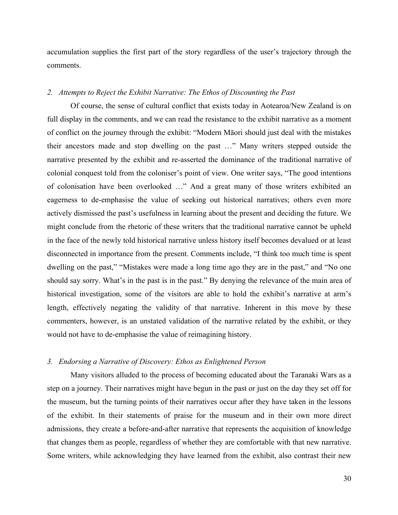accumulation supplies the first part of the story regardless of the user's trajectory through the comments.

## *2. Attempts to Reject the Exhibit Narrative: The Ethos of Discounting the Past*

Of course, the sense of cultural conflict that exists today in Aotearoa/New Zealand is on full display in the comments, and we can read the resistance to the exhibit narrative as a moment of conflict on the journey through the exhibit: "Modern Māori should just deal with the mistakes their ancestors made and stop dwelling on the past …" Many writers stepped outside the narrative presented by the exhibit and re-asserted the dominance of the traditional narrative of colonial conquest told from the coloniser's point of view. One writer says, "The good intentions of colonisation have been overlooked …" And a great many of those writers exhibited an eagerness to de-emphasise the value of seeking out historical narratives; others even more actively dismissed the past's usefulness in learning about the present and deciding the future. We might conclude from the rhetoric of these writers that the traditional narrative cannot be upheld in the face of the newly told historical narrative unless history itself becomes devalued or at least disconnected in importance from the present. Comments include, "I think too much time is spent dwelling on the past," "Mistakes were made a long time ago they are in the past," and "No one should say sorry. What's in the past is in the past." By denying the relevance of the main area of historical investigation, some of the visitors are able to hold the exhibit's narrative at arm's length, effectively negating the validity of that narrative. Inherent in this move by these commenters, however, is an unstated validation of the narrative related by the exhibit, or they would not have to de-emphasise the value of reimagining history.

# *3. Endorsing a Narrative of Discovery: Ethos as Enlightened Person*

Many visitors alluded to the process of becoming educated about the Taranaki Wars as a step on a journey. Their narratives might have begun in the past or just on the day they set off for the museum, but the turning points of their narratives occur after they have taken in the lessons of the exhibit. In their statements of praise for the museum and in their own more direct admissions, they create a before-and-after narrative that represents the acquisition of knowledge that changes them as people, regardless of whether they are comfortable with that new narrative. Some writers, while acknowledging they have learned from the exhibit, also contrast their new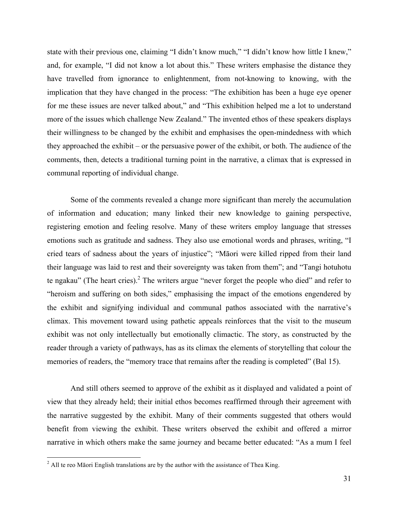state with their previous one, claiming "I didn't know much," "I didn't know how little I knew," and, for example, "I did not know a lot about this." These writers emphasise the distance they have travelled from ignorance to enlightenment, from not-knowing to knowing, with the implication that they have changed in the process: "The exhibition has been a huge eye opener for me these issues are never talked about," and "This exhibition helped me a lot to understand more of the issues which challenge New Zealand." The invented ethos of these speakers displays their willingness to be changed by the exhibit and emphasises the open-mindedness with which they approached the exhibit – or the persuasive power of the exhibit, or both. The audience of the comments, then, detects a traditional turning point in the narrative, a climax that is expressed in communal reporting of individual change.

Some of the comments revealed a change more significant than merely the accumulation of information and education; many linked their new knowledge to gaining perspective, registering emotion and feeling resolve. Many of these writers employ language that stresses emotions such as gratitude and sadness. They also use emotional words and phrases, writing, "I cried tears of sadness about the years of injustice"; "Māori were killed ripped from their land their language was laid to rest and their sovereignty was taken from them"; and "Tangi hotuhotu te ngakau" (The heart cries).<sup>2</sup> The writers argue "never forget the people who died" and refer to "heroism and suffering on both sides," emphasising the impact of the emotions engendered by the exhibit and signifying individual and communal pathos associated with the narrative's climax. This movement toward using pathetic appeals reinforces that the visit to the museum exhibit was not only intellectually but emotionally climactic. The story, as constructed by the reader through a variety of pathways, has as its climax the elements of storytelling that colour the memories of readers, the "memory trace that remains after the reading is completed" (Bal 15).

And still others seemed to approve of the exhibit as it displayed and validated a point of view that they already held; their initial ethos becomes reaffirmed through their agreement with the narrative suggested by the exhibit. Many of their comments suggested that others would benefit from viewing the exhibit. These writers observed the exhibit and offered a mirror narrative in which others make the same journey and became better educated: "As a mum I feel

 $2$  All te reo Māori English translations are by the author with the assistance of Thea King.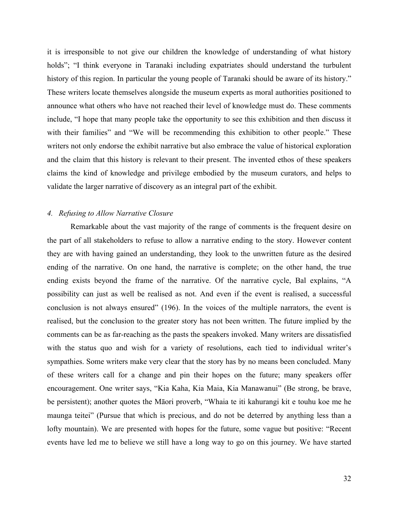it is irresponsible to not give our children the knowledge of understanding of what history holds"; "I think everyone in Taranaki including expatriates should understand the turbulent history of this region. In particular the young people of Taranaki should be aware of its history." These writers locate themselves alongside the museum experts as moral authorities positioned to announce what others who have not reached their level of knowledge must do. These comments include, "I hope that many people take the opportunity to see this exhibition and then discuss it with their families" and "We will be recommending this exhibition to other people." These writers not only endorse the exhibit narrative but also embrace the value of historical exploration and the claim that this history is relevant to their present. The invented ethos of these speakers claims the kind of knowledge and privilege embodied by the museum curators, and helps to validate the larger narrative of discovery as an integral part of the exhibit.

#### *4. Refusing to Allow Narrative Closure*

Remarkable about the vast majority of the range of comments is the frequent desire on the part of all stakeholders to refuse to allow a narrative ending to the story. However content they are with having gained an understanding, they look to the unwritten future as the desired ending of the narrative. On one hand, the narrative is complete; on the other hand, the true ending exists beyond the frame of the narrative. Of the narrative cycle, Bal explains, "A possibility can just as well be realised as not. And even if the event is realised, a successful conclusion is not always ensured" (196). In the voices of the multiple narrators, the event is realised, but the conclusion to the greater story has not been written. The future implied by the comments can be as far-reaching as the pasts the speakers invoked. Many writers are dissatisfied with the status quo and wish for a variety of resolutions, each tied to individual writer's sympathies. Some writers make very clear that the story has by no means been concluded. Many of these writers call for a change and pin their hopes on the future; many speakers offer encouragement. One writer says, "Kia Kaha, Kia Maia, Kia Manawanui" (Be strong, be brave, be persistent); another quotes the Māori proverb, "Whaia te iti kahurangi kit e touhu koe me he maunga teitei" (Pursue that which is precious, and do not be deterred by anything less than a lofty mountain). We are presented with hopes for the future, some vague but positive: "Recent events have led me to believe we still have a long way to go on this journey. We have started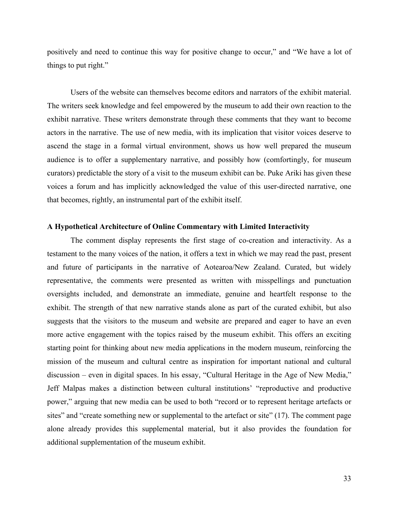positively and need to continue this way for positive change to occur," and "We have a lot of things to put right."

Users of the website can themselves become editors and narrators of the exhibit material. The writers seek knowledge and feel empowered by the museum to add their own reaction to the exhibit narrative. These writers demonstrate through these comments that they want to become actors in the narrative. The use of new media, with its implication that visitor voices deserve to ascend the stage in a formal virtual environment, shows us how well prepared the museum audience is to offer a supplementary narrative, and possibly how (comfortingly, for museum curators) predictable the story of a visit to the museum exhibit can be. Puke Ariki has given these voices a forum and has implicitly acknowledged the value of this user-directed narrative, one that becomes, rightly, an instrumental part of the exhibit itself.

## **A Hypothetical Architecture of Online Commentary with Limited Interactivity**

The comment display represents the first stage of co-creation and interactivity. As a testament to the many voices of the nation, it offers a text in which we may read the past, present and future of participants in the narrative of Aotearoa/New Zealand. Curated, but widely representative, the comments were presented as written with misspellings and punctuation oversights included, and demonstrate an immediate, genuine and heartfelt response to the exhibit. The strength of that new narrative stands alone as part of the curated exhibit, but also suggests that the visitors to the museum and website are prepared and eager to have an even more active engagement with the topics raised by the museum exhibit. This offers an exciting starting point for thinking about new media applications in the modern museum, reinforcing the mission of the museum and cultural centre as inspiration for important national and cultural discussion – even in digital spaces. In his essay, "Cultural Heritage in the Age of New Media," Jeff Malpas makes a distinction between cultural institutions' "reproductive and productive power," arguing that new media can be used to both "record or to represent heritage artefacts or sites" and "create something new or supplemental to the artefact or site" (17). The comment page alone already provides this supplemental material, but it also provides the foundation for additional supplementation of the museum exhibit.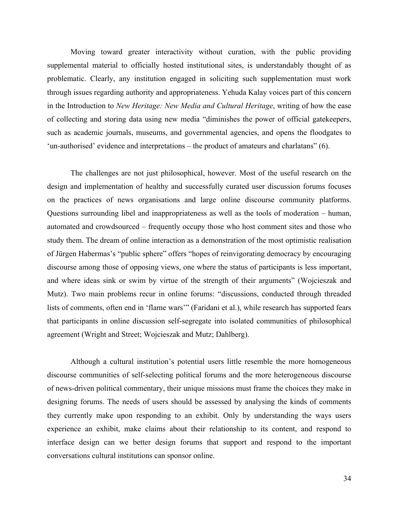Moving toward greater interactivity without curation, with the public providing supplemental material to officially hosted institutional sites, is understandably thought of as problematic. Clearly, any institution engaged in soliciting such supplementation must work through issues regarding authority and appropriateness. Yehuda Kalay voices part of this concern in the Introduction to *New Heritage: New Media and Cultural Heritage*, writing of how the ease of collecting and storing data using new media "diminishes the power of official gatekeepers, such as academic journals, museums, and governmental agencies, and opens the floodgates to 'un-authorised' evidence and interpretations – the product of amateurs and charlatans" (6).

The challenges are not just philosophical, however. Most of the useful research on the design and implementation of healthy and successfully curated user discussion forums focuses on the practices of news organisations and large online discourse community platforms. Questions surrounding libel and inappropriateness as well as the tools of moderation – human, automated and crowdsourced – frequently occupy those who host comment sites and those who study them. The dream of online interaction as a demonstration of the most optimistic realisation of Jürgen Habermas's "public sphere" offers "hopes of reinvigorating democracy by encouraging discourse among those of opposing views, one where the status of participants is less important, and where ideas sink or swim by virtue of the strength of their arguments" (Wojcieszak and Mutz). Two main problems recur in online forums: "discussions, conducted through threaded lists of comments, often end in 'flame wars'" (Faridani et al.), while research has supported fears that participants in online discussion self-segregate into isolated communities of philosophical agreement (Wright and Street; Wojcieszak and Mutz; Dahlberg).

Although a cultural institution's potential users little resemble the more homogeneous discourse communities of self-selecting political forums and the more heterogeneous discourse of news-driven political commentary, their unique missions must frame the choices they make in designing forums. The needs of users should be assessed by analysing the kinds of comments they currently make upon responding to an exhibit. Only by understanding the ways users experience an exhibit, make claims about their relationship to its content, and respond to interface design can we better design forums that support and respond to the important conversations cultural institutions can sponsor online.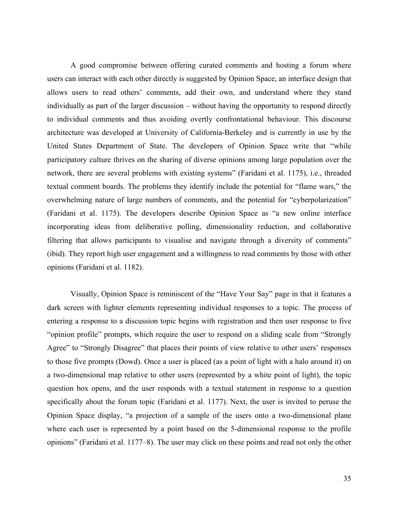A good compromise between offering curated comments and hosting a forum where users can interact with each other directly is suggested by Opinion Space, an interface design that allows users to read others' comments, add their own, and understand where they stand individually as part of the larger discussion – without having the opportunity to respond directly to individual comments and thus avoiding overtly confrontational behaviour. This discourse architecture was developed at University of California-Berkeley and is currently in use by the United States Department of State. The developers of Opinion Space write that "while participatory culture thrives on the sharing of diverse opinions among large population over the network, there are several problems with existing systems" (Faridani et al. 1175), i.e., threaded textual comment boards. The problems they identify include the potential for "flame wars," the overwhelming nature of large numbers of comments, and the potential for "cyberpolarization" (Faridani et al. 1175). The developers describe Opinion Space as "a new online interface incorporating ideas from deliberative polling, dimensionality reduction, and collaborative filtering that allows participants to visualise and navigate through a diversity of comments" (ibid). They report high user engagement and a willingness to read comments by those with other opinions (Faridani et al. 1182).

Visually, Opinion Space is reminiscent of the "Have Your Say" page in that it features a dark screen with lighter elements representing individual responses to a topic. The process of entering a response to a discussion topic begins with registration and then user response to five "opinion profile" prompts, which require the user to respond on a sliding scale from "Strongly Agree" to "Strongly Disagree" that places their points of view relative to other users' responses to those five prompts (Dowd). Once a user is placed (as a point of light with a halo around it) on a two-dimensional map relative to other users (represented by a white point of light), the topic question box opens, and the user responds with a textual statement in response to a question specifically about the forum topic (Faridani et al. 1177). Next, the user is invited to peruse the Opinion Space display, "a projection of a sample of the users onto a two-dimensional plane where each user is represented by a point based on the 5-dimensional response to the profile opinions" (Faridani et al. 1177–8). The user may click on these points and read not only the other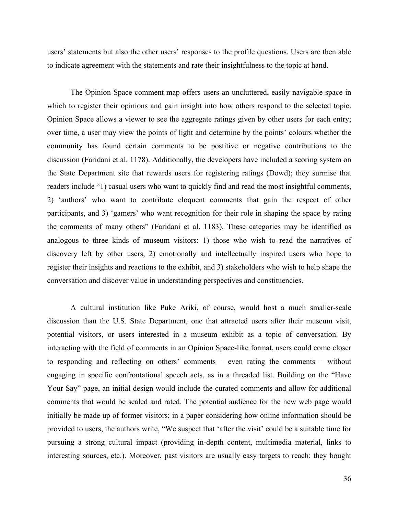users' statements but also the other users' responses to the profile questions. Users are then able to indicate agreement with the statements and rate their insightfulness to the topic at hand.

The Opinion Space comment map offers users an uncluttered, easily navigable space in which to register their opinions and gain insight into how others respond to the selected topic. Opinion Space allows a viewer to see the aggregate ratings given by other users for each entry; over time, a user may view the points of light and determine by the points' colours whether the community has found certain comments to be postitive or negative contributions to the discussion (Faridani et al. 1178). Additionally, the developers have included a scoring system on the State Department site that rewards users for registering ratings (Dowd); they surmise that readers include "1) casual users who want to quickly find and read the most insightful comments, 2) 'authors' who want to contribute eloquent comments that gain the respect of other participants, and 3) 'gamers' who want recognition for their role in shaping the space by rating the comments of many others" (Faridani et al. 1183). These categories may be identified as analogous to three kinds of museum visitors: 1) those who wish to read the narratives of discovery left by other users, 2) emotionally and intellectually inspired users who hope to register their insights and reactions to the exhibit, and 3) stakeholders who wish to help shape the conversation and discover value in understanding perspectives and constituencies.

A cultural institution like Puke Ariki, of course, would host a much smaller-scale discussion than the U.S. State Department, one that attracted users after their museum visit, potential visitors, or users interested in a museum exhibit as a topic of conversation. By interacting with the field of comments in an Opinion Space-like format, users could come closer to responding and reflecting on others' comments – even rating the comments – without engaging in specific confrontational speech acts, as in a threaded list. Building on the "Have Your Say" page, an initial design would include the curated comments and allow for additional comments that would be scaled and rated. The potential audience for the new web page would initially be made up of former visitors; in a paper considering how online information should be provided to users, the authors write, "We suspect that 'after the visit' could be a suitable time for pursuing a strong cultural impact (providing in-depth content, multimedia material, links to interesting sources, etc.). Moreover, past visitors are usually easy targets to reach: they bought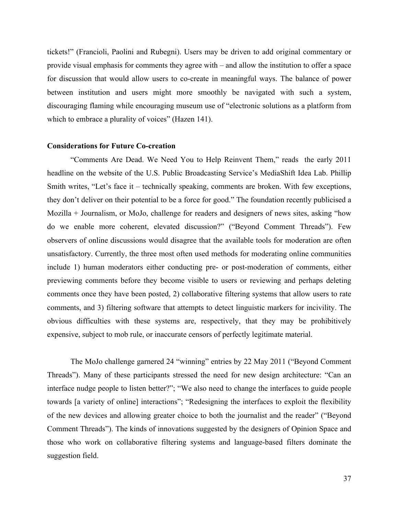tickets!" (Francioli, Paolini and Rubegni). Users may be driven to add original commentary or provide visual emphasis for comments they agree with – and allow the institution to offer a space for discussion that would allow users to co-create in meaningful ways. The balance of power between institution and users might more smoothly be navigated with such a system, discouraging flaming while encouraging museum use of "electronic solutions as a platform from which to embrace a plurality of voices" (Hazen 141).

### **Considerations for Future Co-creation**

"Comments Are Dead. We Need You to Help Reinvent Them," reads the early 2011 headline on the website of the U.S. Public Broadcasting Service's MediaShift Idea Lab. Phillip Smith writes, "Let's face it – technically speaking, comments are broken. With few exceptions, they don't deliver on their potential to be a force for good." The foundation recently publicised a Mozilla + Journalism, or MoJo, challenge for readers and designers of news sites, asking "how do we enable more coherent, elevated discussion?" ("Beyond Comment Threads"). Few observers of online discussions would disagree that the available tools for moderation are often unsatisfactory. Currently, the three most often used methods for moderating online communities include 1) human moderators either conducting pre- or post-moderation of comments, either previewing comments before they become visible to users or reviewing and perhaps deleting comments once they have been posted, 2) collaborative filtering systems that allow users to rate comments, and 3) filtering software that attempts to detect linguistic markers for incivility. The obvious difficulties with these systems are, respectively, that they may be prohibitively expensive, subject to mob rule, or inaccurate censors of perfectly legitimate material.

The MoJo challenge garnered 24 "winning" entries by 22 May 2011 ("Beyond Comment Threads"). Many of these participants stressed the need for new design architecture: "Can an interface nudge people to listen better?"; "We also need to change the interfaces to guide people towards [a variety of online] interactions"; "Redesigning the interfaces to exploit the flexibility of the new devices and allowing greater choice to both the journalist and the reader" ("Beyond Comment Threads"). The kinds of innovations suggested by the designers of Opinion Space and those who work on collaborative filtering systems and language-based filters dominate the suggestion field.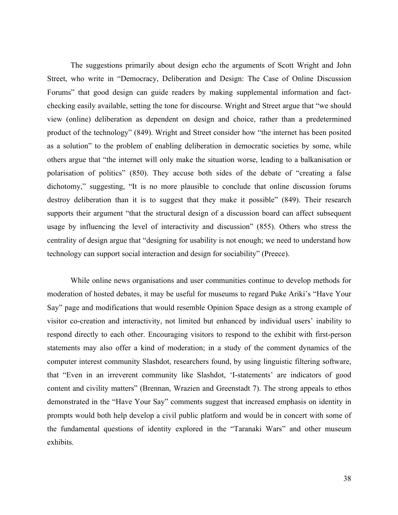The suggestions primarily about design echo the arguments of Scott Wright and John Street, who write in "Democracy, Deliberation and Design: The Case of Online Discussion Forums" that good design can guide readers by making supplemental information and factchecking easily available, setting the tone for discourse. Wright and Street argue that "we should view (online) deliberation as dependent on design and choice, rather than a predetermined product of the technology" (849). Wright and Street consider how "the internet has been posited as a solution" to the problem of enabling deliberation in democratic societies by some, while others argue that "the internet will only make the situation worse, leading to a balkanisation or polarisation of politics" (850). They accuse both sides of the debate of "creating a false dichotomy," suggesting, "It is no more plausible to conclude that online discussion forums destroy deliberation than it is to suggest that they make it possible" (849). Their research supports their argument "that the structural design of a discussion board can affect subsequent usage by influencing the level of interactivity and discussion" (855). Others who stress the centrality of design argue that "designing for usability is not enough; we need to understand how technology can support social interaction and design for sociability" (Preece).

While online news organisations and user communities continue to develop methods for moderation of hosted debates, it may be useful for museums to regard Puke Ariki's "Have Your Say" page and modifications that would resemble Opinion Space design as a strong example of visitor co-creation and interactivity, not limited but enhanced by individual users' inability to respond directly to each other. Encouraging visitors to respond to the exhibit with first-person statements may also offer a kind of moderation; in a study of the comment dynamics of the computer interest community Slashdot, researchers found, by using linguistic filtering software, that "Even in an irreverent community like Slashdot, 'I-statements' are indicators of good content and civility matters" (Brennan, Wrazien and Greenstadt 7). The strong appeals to ethos demonstrated in the "Have Your Say" comments suggest that increased emphasis on identity in prompts would both help develop a civil public platform and would be in concert with some of the fundamental questions of identity explored in the "Taranaki Wars" and other museum exhibits.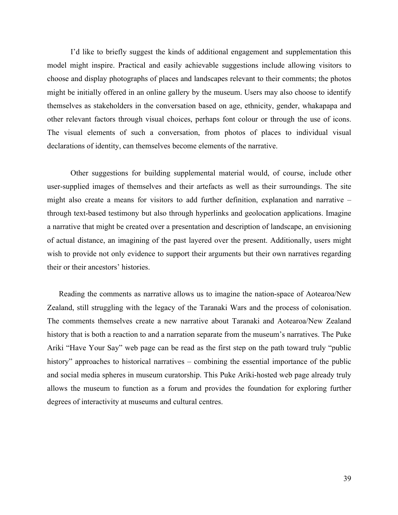I'd like to briefly suggest the kinds of additional engagement and supplementation this model might inspire. Practical and easily achievable suggestions include allowing visitors to choose and display photographs of places and landscapes relevant to their comments; the photos might be initially offered in an online gallery by the museum. Users may also choose to identify themselves as stakeholders in the conversation based on age, ethnicity, gender, whakapapa and other relevant factors through visual choices, perhaps font colour or through the use of icons. The visual elements of such a conversation, from photos of places to individual visual declarations of identity, can themselves become elements of the narrative.

Other suggestions for building supplemental material would, of course, include other user-supplied images of themselves and their artefacts as well as their surroundings. The site might also create a means for visitors to add further definition, explanation and narrative – through text-based testimony but also through hyperlinks and geolocation applications. Imagine a narrative that might be created over a presentation and description of landscape, an envisioning of actual distance, an imagining of the past layered over the present. Additionally, users might wish to provide not only evidence to support their arguments but their own narratives regarding their or their ancestors' histories.

Reading the comments as narrative allows us to imagine the nation-space of Aotearoa/New Zealand, still struggling with the legacy of the Taranaki Wars and the process of colonisation. The comments themselves create a new narrative about Taranaki and Aotearoa/New Zealand history that is both a reaction to and a narration separate from the museum's narratives. The Puke Ariki "Have Your Say" web page can be read as the first step on the path toward truly "public history" approaches to historical narratives – combining the essential importance of the public and social media spheres in museum curatorship. This Puke Ariki-hosted web page already truly allows the museum to function as a forum and provides the foundation for exploring further degrees of interactivity at museums and cultural centres.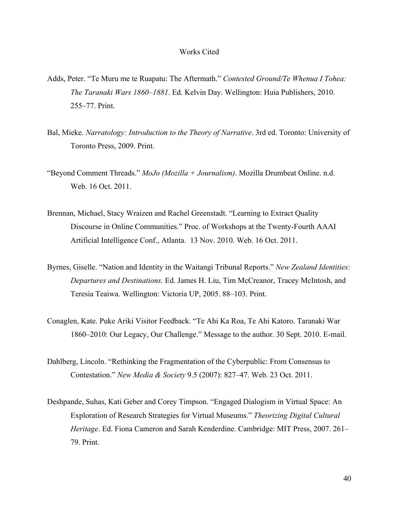#### Works Cited

- Adds, Peter. "Te Muru me te Ruapatu: The Aftermath." *Contested Ground/Te Whenua I Tohea: The Taranaki Wars 1860*–*1881*. Ed. Kelvin Day. Wellington: Huia Publishers, 2010. 255–77. Print.
- Bal, Mieke. *Narratology: Introduction to the Theory of Narrative*. 3rd ed. Toronto: University of Toronto Press, 2009. Print.
- "Beyond Comment Threads." *MoJo (Mozilla + Journalism)*. Mozilla Drumbeat Online. n.d. Web. 16 Oct. 2011.
- Brennan, Michael, Stacy Wraizen and Rachel Greenstadt. "Learning to Extract Quality Discourse in Online Communities." Proc. of Workshops at the Twenty-Fourth AAAI Artificial Intelligence Conf., Atlanta. 13 Nov. 2010. Web. 16 Oct. 2011.
- Byrnes, Giselle. "Nation and Identity in the Waitangi Tribunal Reports." *New Zealand Identities: Departures and Destinations.* Ed. James H. Liu, Tim McCreanor, Tracey McIntosh, and Teresia Teaiwa. Wellington: Victoria UP, 2005. 88–103. Print.
- Conaglen, Kate. Puke Ariki Visitor Feedback. "Te Ahi Ka Roa, Te Ahi Katoro. Taranaki War 1860–2010: Our Legacy, Our Challenge." Message to the author. 30 Sept. 2010. E-mail.
- Dahlberg, Lincoln. "Rethinking the Fragmentation of the Cyberpublic: From Consensus to Contestation." *New Media & Society* 9.5 (2007): 827–47. Web. 23 Oct. 2011.
- Deshpande, Suhas, Kati Geber and Corey Timpson. "Engaged Dialogism in Virtual Space: An Exploration of Research Strategies for Virtual Museums." *Theorizing Digital Cultural Heritage*. Ed. Fiona Cameron and Sarah Kenderdine. Cambridge: MIT Press, 2007. 261– 79. Print.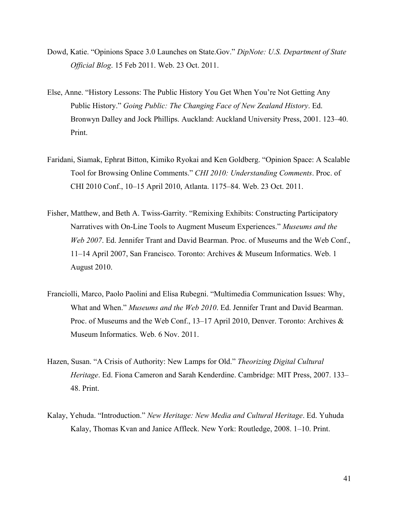- Dowd, Katie. "Opinions Space 3.0 Launches on State.Gov." *DipNote: U.S. Department of State Official Blog*. 15 Feb 2011. Web. 23 Oct. 2011.
- Else, Anne. "History Lessons: The Public History You Get When You're Not Getting Any Public History." *Going Public: The Changing Face of New Zealand History*. Ed. Bronwyn Dalley and Jock Phillips. Auckland: Auckland University Press, 2001. 123–40. Print.
- Faridani, Siamak, Ephrat Bitton, Kimiko Ryokai and Ken Goldberg. "Opinion Space: A Scalable Tool for Browsing Online Comments." *CHI 2010: Understanding Comments*. Proc. of CHI 2010 Conf., 10–15 April 2010, Atlanta. 1175–84. Web. 23 Oct. 2011.
- Fisher, Matthew, and Beth A. Twiss-Garrity. "Remixing Exhibits: Constructing Participatory Narratives with On-Line Tools to Augment Museum Experiences." *Museums and the Web 2007*. Ed. Jennifer Trant and David Bearman. Proc. of Museums and the Web Conf., 11–14 April 2007, San Francisco. Toronto: Archives & Museum Informatics. Web. 1 August 2010.
- Franciolli, Marco, Paolo Paolini and Elisa Rubegni. "Multimedia Communication Issues: Why, What and When." *Museums and the Web 2010*. Ed. Jennifer Trant and David Bearman. Proc. of Museums and the Web Conf., 13–17 April 2010, Denver. Toronto: Archives & Museum Informatics. Web. 6 Nov. 2011.
- Hazen, Susan. "A Crisis of Authority: New Lamps for Old." *Theorizing Digital Cultural Heritage*. Ed. Fiona Cameron and Sarah Kenderdine. Cambridge: MIT Press, 2007. 133– 48. Print.
- Kalay, Yehuda. "Introduction." *New Heritage: New Media and Cultural Heritage*. Ed. Yuhuda Kalay, Thomas Kvan and Janice Affleck. New York: Routledge, 2008. 1–10. Print.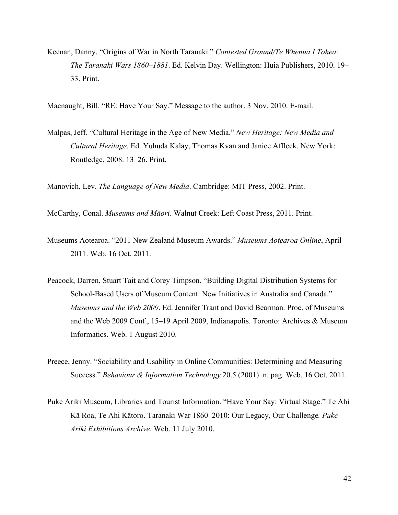Keenan, Danny. "Origins of War in North Taranaki." *Contested Ground/Te Whenua I Tohea: The Taranaki Wars 1860*–*1881*. Ed. Kelvin Day. Wellington: Huia Publishers, 2010. 19– 33. Print.

Macnaught, Bill. "RE: Have Your Say." Message to the author. 3 Nov. 2010. E-mail.

Malpas, Jeff. "Cultural Heritage in the Age of New Media." *New Heritage: New Media and Cultural Heritage*. Ed. Yuhuda Kalay, Thomas Kvan and Janice Affleck. New York: Routledge, 2008. 13–26. Print.

Manovich, Lev. *The Language of New Media*. Cambridge: MIT Press, 2002. Print.

McCarthy, Conal. *Museums and Māori*. Walnut Creek: Left Coast Press, 2011. Print.

- Museums Aotearoa. "2011 New Zealand Museum Awards." *Museums Aotearoa Online*, April 2011. Web. 16 Oct. 2011.
- Peacock, Darren, Stuart Tait and Corey Timpson. "Building Digital Distribution Systems for School-Based Users of Museum Content: New Initiatives in Australia and Canada." *Museums and the Web 2009*. Ed. Jennifer Trant and David Bearman. Proc. of Museums and the Web 2009 Conf., 15–19 April 2009, Indianapolis. Toronto: Archives & Museum Informatics. Web. 1 August 2010.
- Preece, Jenny. "Sociability and Usability in Online Communities: Determining and Measuring Success." *Behaviour & Information Technology* 20.5 (2001). n. pag. Web. 16 Oct. 2011.
- Puke Ariki Museum, Libraries and Tourist Information. "Have Your Say: Virtual Stage." Te Ahi Kā Roa, Te Ahi Kātoro. Taranaki War 1860–2010: Our Legacy, Our Challenge*. Puke Ariki Exhibitions Archive*. Web. 11 July 2010.